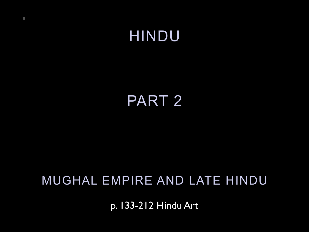HINDU

# PART 2

## MUGHAL EMPIRE AND LATE HINDU

p. 133-212 Hindu Art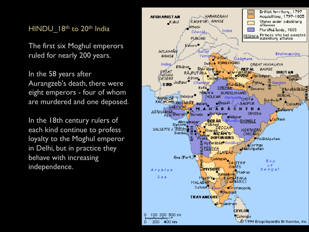#### HINDU 18th to 20th India

The first six Moghul emperors ruled for nearly 200 years.

In the 58 years after Aurangzeb's death, there were eight emperors - four of whom are murdered and one deposed.

In the 18th century rulers of each kind continue to profess loyalty to the Moghul emperor in Delhi, but in practice they behave with increasing independence.

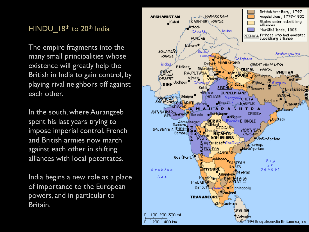#### HINDU 18th to 20th India

The empire fragments into the many small principalities whose existence will greatly help the British in India to gain control, by playing rival neighbors off against each other.

In the south, where Aurangzeb spent his last years trying to impose imperial control, French and British armies now march against each other in shifting alliances with local potentates.

India begins a new role as a place of importance to the European powers, and in particular to Britain.

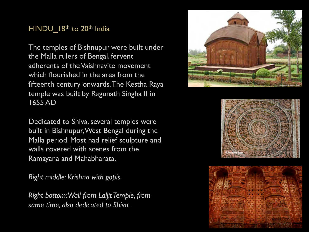#### HINDU\_18th to 20th India

The temples of Bishnupur were built under the Malla rulers of Bengal, fervent adherents of the Vaishnavite movement which flourished in the area from the fifteenth century onwards. The Kestha Raya temple was built by Ragunath Singha II in 1655 AD

Dedicated to Shiva, several temples were built in Bishnupur, West Bengal during the Malla period. Most had relief sculpture and walls covered with scenes from the Ramayana and Mahabharata.

*Right middle: Krishna with gopis.* 

*Right bottom: Wall from Laljit Temple, from same time, also dedicated to Shiva .*

![](_page_3_Picture_5.jpeg)

![](_page_3_Picture_6.jpeg)

![](_page_3_Picture_7.jpeg)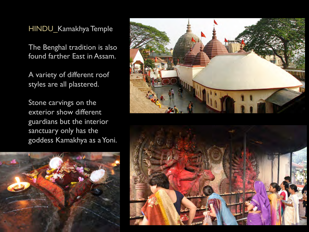HINDU\_Kamakhya Temple

The Benghal tradition is also found farther East in Assam.

A variety of different roof styles are all plastered.

Stone carvings on the exterior show different guardians but the interior sanctuary only has the goddess Kamakhya as a Yoni.

![](_page_4_Picture_4.jpeg)

![](_page_4_Picture_5.jpeg)

![](_page_4_Picture_6.jpeg)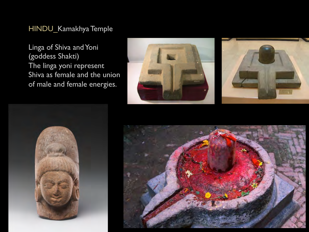#### HINDU\_Kamakhya Temple

Linga of Shiva and Yoni (goddess Shakti) The linga yoni represent Shiva as female and the union of male and female energies.

![](_page_5_Picture_2.jpeg)

![](_page_5_Picture_3.jpeg)

![](_page_5_Picture_4.jpeg)

![](_page_5_Picture_5.jpeg)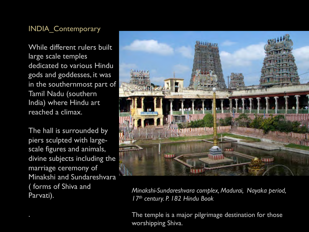While different rulers built large scale temples dedicated to various Hindu gods and goddesses, it was in the southernmost part of Tamil Nadu (southern India) where Hindu art reached a climax.

The hall is surrounded by piers sculpted with largescale figures and animals, divine subjects including the marriage ceremony of Minakshi and Sundareshvara ( forms of Shiva and Parvati).

![](_page_6_Picture_3.jpeg)

*Minakshi-Sundareshvara complex, Madurai, Nayaka period, 17th century. P. 182 Hindu Book* 

The temple is a major pilgrimage destination for those worshipping Shiva.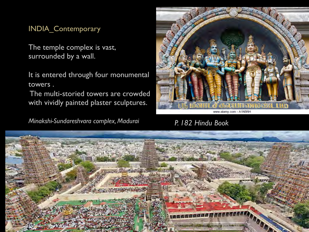The temple complex is vast, surrounded by a wall.

It is entered through four monumental towers .

 The multi-storied towers are crowded with vividly painted plaster sculptures.

*Minakshi-Sundareshvara complex, Madurai P. 182 Hindu Book*

![](_page_7_Picture_5.jpeg)

![](_page_7_Picture_7.jpeg)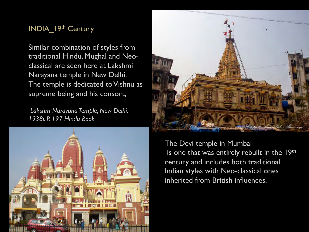#### INDIA\_19th Century

Similar combination of styles from traditional Hindu, Mughal and Neoclassical are seen here at Lakshmi Narayana temple in New Delhi. The temple is dedicated to Vishnu as supreme being and his consort,

*Lakshm Narayana Temple, New Delhi, 1938i. P. 197 Hindu Book*

![](_page_8_Picture_3.jpeg)

![](_page_8_Picture_4.jpeg)

The Devi temple in Mumbai is one that was entirely rebuilt in the 19th century and includes both traditional Indian styles with Neo-classical ones inherited from British influences.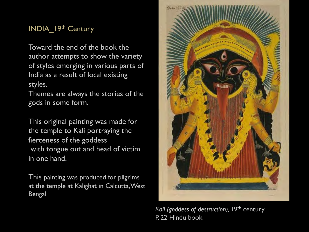#### INDIA\_19th Century

Toward the end of the book the author attempts to show the variety of styles emerging in various parts of India as a result of local existing styles.

Themes are always the stories of the gods in some form.

This original painting was made for the temple to Kali portraying the fierceness of the goddess with tongue out and head of victim in one hand.

This painting was produced for pilgrims at the temple at Kalighat in Calcutta, West Bengal

![](_page_9_Picture_5.jpeg)

Kali (goddess of destruction), 19<sup>th</sup> century P. 22 Hindu book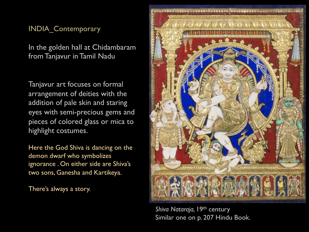In the golden hall at Chidambaram from Tanjavur in Tamil Nadu

Tanjavur art focuses on formal arrangement of deities with the addition of pale skin and staring eyes with semi-precious gems and pieces of colored glass or mica to highlight costumes.

Here the God Shiva is dancing on the demon dwarf who symbolizes ignorance . On either side are Shiva's two sons, Ganesha and Kartikeya.

There's always a story.

![](_page_10_Picture_5.jpeg)

*Shiva Nataraja,* 19th century Similar one on p. 207 Hindu Book.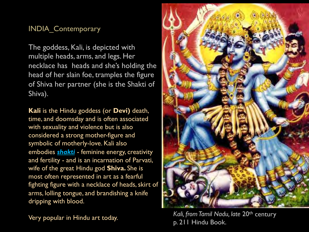The goddess, Kali, is depicted with multiple heads, arms, and legs. Her necklace has heads and she's holding the head of her slain foe, tramples the figure of Shiva her partner (she is the Shakti of Shiva).

**Kali** is the Hindu goddess (or **Devi)** death, time, and doomsday and is often associated with sexuality and violence but is also considered a strong mother-figure and symbolic of motherly-love. Kali also embodies *shakti* - feminine energy, creativity and fertility - and is an incarnation of Parvati, wife of the great Hindu god **Shiva.** She is most often represented in art as a fearful fighting figure with a necklace of heads, skirt of arms, lolling tongue, and brandishing a knife dripping with blood.

![](_page_11_Picture_4.jpeg)

Very popular in Hindu art today. *Kali, from Tamil Nadu, late* 20th century p. 211 Hindu Book.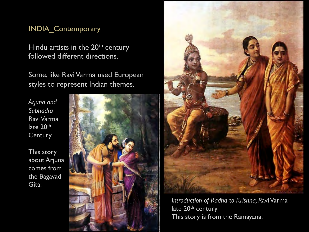Hindu artists in the 20<sup>th</sup> century followed different directions.

Some, like Ravi Varma used European styles to represent Indian themes.

*Arjuna and Subhadra*  Ravi Varma late 20<sup>th</sup> **Century** 

This story about Arjuna comes from the Bagavad Gita.

![](_page_12_Picture_5.jpeg)

![](_page_12_Picture_6.jpeg)

*Introduction of Radha to Krishna, R*avi Varma late 20<sup>th</sup> century This story is from the Ramayana.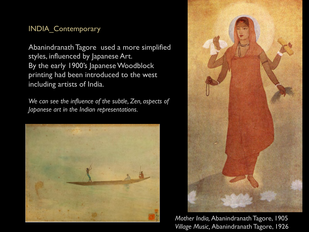Abanindranath Tagore used a more simplified styles, influenced by Japanese Art. By the early 1900's Japanese Woodblock printing had been introduced to the west including artists of India.

*We can see the influence of the subtle, Zen, aspects of Japanese art in the Indian representations.* 

![](_page_13_Picture_3.jpeg)

![](_page_13_Picture_4.jpeg)

*Mother India,* Abanindranath Tagore, 1905 *Village Music,* Abanindranath Tagore, 1926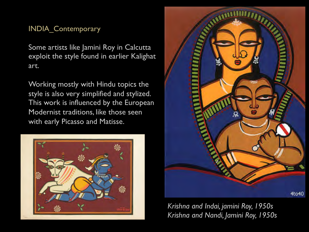Some artists like Jamini Roy in Calcutta exploit the style found in earlier Kalighat art.

Working mostly with Hindu topics the style is also very simplified and stylized. This work is influenced by the European Modernist traditions, like those seen with early Picasso and Matisse.

![](_page_14_Picture_3.jpeg)

![](_page_14_Picture_4.jpeg)

*Krishna and Indai, jamini Roy, 1950s Krishna and Nandi, Jamini Roy, 1950s*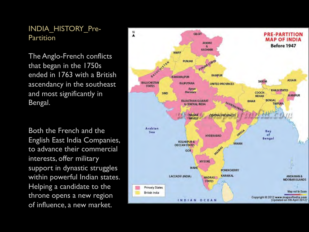INDIA\_HISTORY\_Pre-**Partition** 

The Anglo-French conflicts that began in the 1750s ended in 1763 with a British ascendancy in the southeast and most significantly in Bengal.

Both the French and the English East India Companies, to advance their commercial interests, offer military support in dynastic struggles within powerful Indian states. Helping a candidate to the throne opens a new region of influence, a new market.

![](_page_15_Figure_3.jpeg)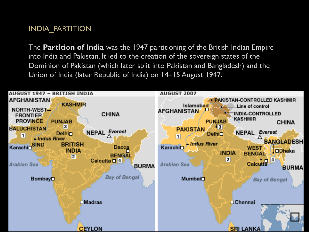### INDIA\_PARTITION

The **Partition of India** was the 1947 partitioning of the British Indian Empire into India and Pakistan. It led to the creation of the sovereign states of the Dominion of Pakistan (which later split into Pakistan and Bangladesh) and the Union of India (later Republic of India) on 14–15 August 1947.

![](_page_16_Figure_2.jpeg)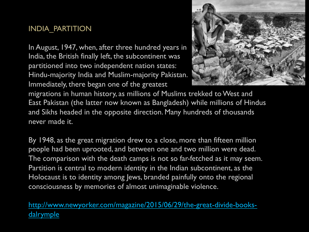#### INDIA\_PARTITION

In August, 1947, when, after three hundred years in India, the British finally left, the subcontinent was partitioned into two independent nation states: Hindu-majority India and Muslim-majority Pakistan. Immediately, there began one of the greatest

![](_page_17_Picture_2.jpeg)

migrations in human history, as millions of Muslims trekked to West and East Pakistan (the latter now known as Bangladesh) while millions of Hindus and Sikhs headed in the opposite direction. Many hundreds of thousands never made it.

By 1948, as the great migration drew to a close, more than fifteen million people had been uprooted, and between one and two million were dead. The comparison with the death camps is not so far-fetched as it may seem. Partition is central to modern identity in the Indian subcontinent, as the Holocaust is to identity among Jews, branded painfully onto the regional consciousness by memories of almost unimaginable violence.

http://www.newyorker.com/magazine/2015/06/29/the-great-divide-booksdalrymple